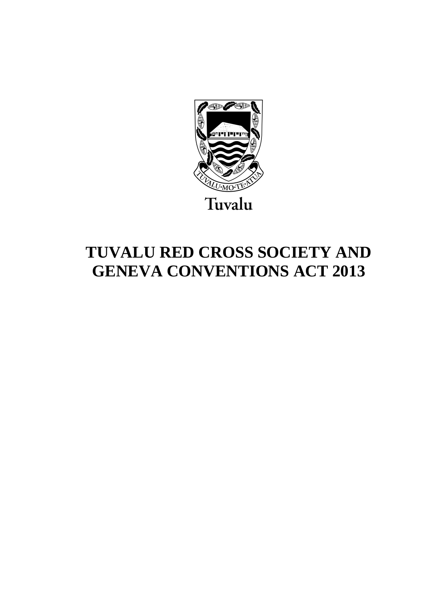

# **TUVALU RED CROSS SOCIETY AND GENEVA CONVENTIONS ACT 2013**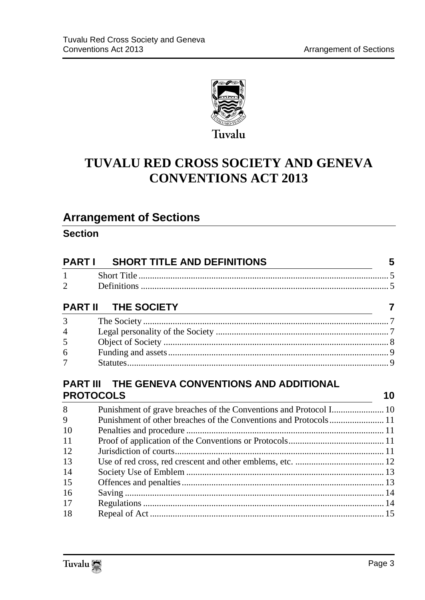

# **TUVALU RED CROSS SOCIETY AND GENEVA CONVENTIONS ACT 2013**

## **Arrangement of Sections**

### **Section**

| <b>PART I</b>                                                             | <b>SHORT TITLE AND DEFINITIONS</b>                               | 5  |
|---------------------------------------------------------------------------|------------------------------------------------------------------|----|
| $\mathbf{1}$                                                              |                                                                  |    |
| $\mathcal{D}_{\mathcal{L}}$                                               |                                                                  |    |
| THE SOCIETY<br><b>PART II</b>                                             |                                                                  |    |
| 3                                                                         |                                                                  |    |
| 4                                                                         |                                                                  |    |
| 5                                                                         |                                                                  |    |
| 6                                                                         |                                                                  |    |
| 7                                                                         |                                                                  |    |
| <b>PART III THE GENEVA CONVENTIONS AND ADDITIONAL</b><br><b>PROTOCOLS</b> |                                                                  |    |
|                                                                           |                                                                  | 10 |
| 8                                                                         |                                                                  |    |
| 9                                                                         | Punishment of other breaches of the Conventions and Protocols 11 |    |
| 10                                                                        |                                                                  |    |
| 11                                                                        |                                                                  |    |
| 12                                                                        |                                                                  |    |
| 13                                                                        |                                                                  |    |
| 14                                                                        |                                                                  |    |
| 15                                                                        |                                                                  |    |
| 16                                                                        |                                                                  |    |
| 17                                                                        |                                                                  |    |

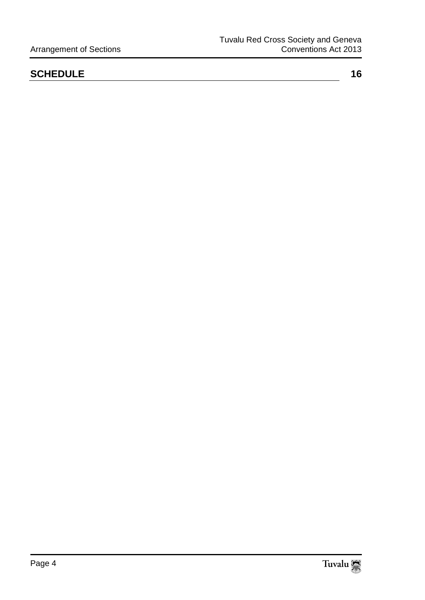### **[SCHEDULE](#page-15-0)** 16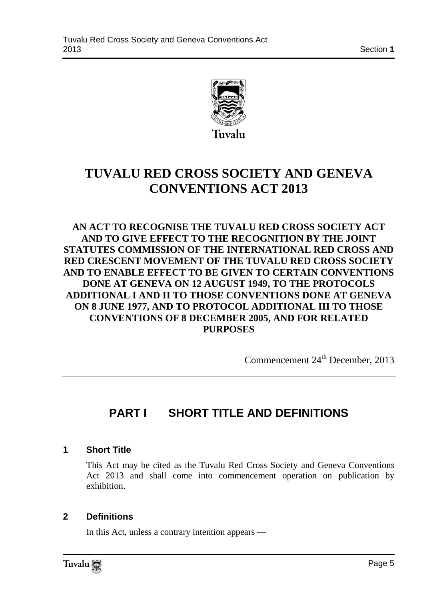

# **TUVALU RED CROSS SOCIETY AND GENEVA CONVENTIONS ACT 2013**

**AN ACT TO RECOGNISE THE TUVALU RED CROSS SOCIETY ACT AND TO GIVE EFFECT TO THE RECOGNITION BY THE JOINT STATUTES COMMISSION OF THE INTERNATIONAL RED CROSS AND RED CRESCENT MOVEMENT OF THE TUVALU RED CROSS SOCIETY AND TO ENABLE EFFECT TO BE GIVEN TO CERTAIN CONVENTIONS DONE AT GENEVA ON 12 AUGUST 1949, TO THE PROTOCOLS ADDITIONAL I AND II TO THOSE CONVENTIONS DONE AT GENEVA ON 8 JUNE 1977, AND TO PROTOCOL ADDITIONAL III TO THOSE CONVENTIONS OF 8 DECEMBER 2005, AND FOR RELATED PURPOSES**

Commencement 24<sup>th</sup> December, 2013

### <span id="page-4-0"></span>**PART I SHORT TITLE AND DEFINITIONS**

#### <span id="page-4-1"></span>**1 Short Title**

This Act may be cited as the Tuvalu Red Cross Society and Geneva Conventions Act 2013 and shall come into commencement operation on publication by exhibition.

#### <span id="page-4-2"></span>**2 Definitions**

In this Act, unless a contrary intention appears —

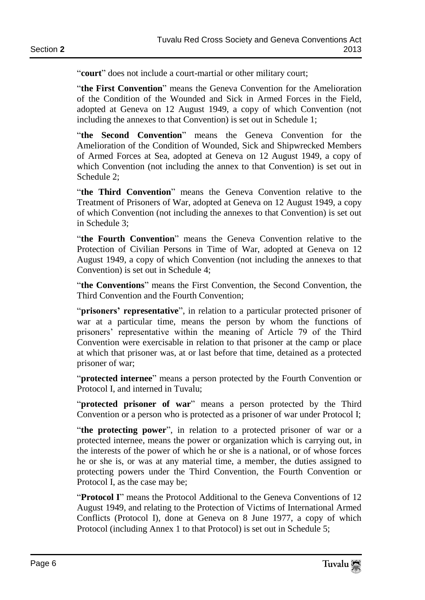"court" does not include a court-martial or other military court;

"the First Convention" means the Geneva Convention for the Amelioration of the Condition of the Wounded and Sick in Armed Forces in the Field, adopted at Geneva on 12 August 1949, a copy of which Convention (not including the annexes to that Convention) is set out in Schedule 1;

"the Second Convention" means the Geneva Convention for the Amelioration of the Condition of Wounded, Sick and Shipwrecked Members of Armed Forces at Sea, adopted at Geneva on 12 August 1949, a copy of which Convention (not including the annex to that Convention) is set out in Schedule 2;

"the Third Convention" means the Geneva Convention relative to the Treatment of Prisoners of War, adopted at Geneva on 12 August 1949, a copy of which Convention (not including the annexes to that Convention) is set out in Schedule 3;

―**the Fourth Convention**‖ means the Geneva Convention relative to the Protection of Civilian Persons in Time of War, adopted at Geneva on 12 August 1949, a copy of which Convention (not including the annexes to that Convention) is set out in Schedule 4;

"the Conventions" means the First Convention, the Second Convention, the Third Convention and the Fourth Convention;

"**prisoners' representative**", in relation to a particular protected prisoner of war at a particular time, means the person by whom the functions of prisoners' representative within the meaning of Article 79 of the Third Convention were exercisable in relation to that prisoner at the camp or place at which that prisoner was, at or last before that time, detained as a protected prisoner of war;

"**protected internee**" means a person protected by the Fourth Convention or Protocol I, and interned in Tuvalu;

"**protected prisoner of war**" means a person protected by the Third Convention or a person who is protected as a prisoner of war under Protocol I;

"the protecting power", in relation to a protected prisoner of war or a protected internee, means the power or organization which is carrying out, in the interests of the power of which he or she is a national, or of whose forces he or she is, or was at any material time, a member, the duties assigned to protecting powers under the Third Convention, the Fourth Convention or Protocol I, as the case may be;

**Protocol I**" means the Protocol Additional to the Geneva Conventions of 12 August 1949, and relating to the Protection of Victims of International Armed Conflicts (Protocol I), done at Geneva on 8 June 1977, a copy of which Protocol (including Annex 1 to that Protocol) is set out in Schedule 5;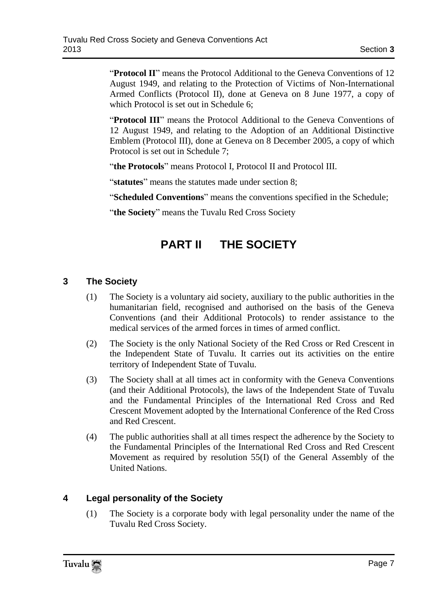"**Protocol II**" means the Protocol Additional to the Geneva Conventions of 12 August 1949, and relating to the Protection of Victims of Non-International Armed Conflicts (Protocol II), done at Geneva on 8 June 1977, a copy of which Protocol is set out in Schedule 6:

"**Protocol III**" means the Protocol Additional to the Geneva Conventions of 12 August 1949, and relating to the Adoption of an Additional Distinctive Emblem (Protocol III), done at Geneva on 8 December 2005, a copy of which Protocol is set out in Schedule 7;

"the Protocols" means Protocol I, Protocol II and Protocol III.

"**statutes**" means the statutes made under section 8:

"Scheduled Conventions" means the conventions specified in the Schedule;

<span id="page-6-0"></span>"the Society" means the Tuvalu Red Cross Society"

### **PART II THE SOCIETY**

#### <span id="page-6-1"></span>**3 The Society**

- (1) The Society is a voluntary aid society, auxiliary to the public authorities in the humanitarian field, recognised and authorised on the basis of the Geneva Conventions (and their Additional Protocols) to render assistance to the medical services of the armed forces in times of armed conflict.
- (2) The Society is the only National Society of the Red Cross or Red Crescent in the Independent State of Tuvalu. It carries out its activities on the entire territory of Independent State of Tuvalu.
- (3) The Society shall at all times act in conformity with the Geneva Conventions (and their Additional Protocols), the laws of the Independent State of Tuvalu and the Fundamental Principles of the International Red Cross and Red Crescent Movement adopted by the International Conference of the Red Cross and Red Crescent.
- (4) The public authorities shall at all times respect the adherence by the Society to the Fundamental Principles of the International Red Cross and Red Crescent Movement as required by resolution 55(I) of the General Assembly of the United Nations.

#### <span id="page-6-2"></span>**4 Legal personality of the Society**

(1) The Society is a corporate body with legal personality under the name of the Tuvalu Red Cross Society.

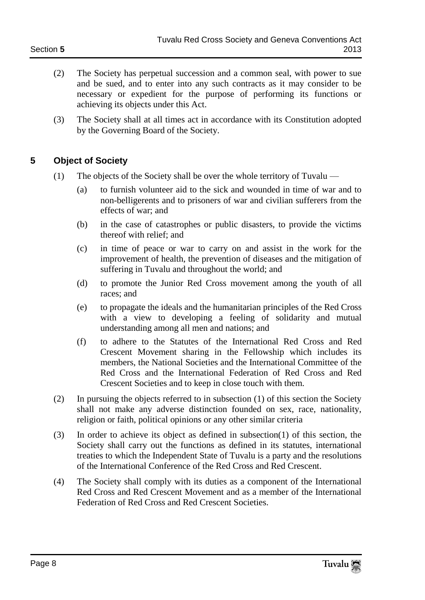- (2) The Society has perpetual succession and a common seal, with power to sue and be sued, and to enter into any such contracts as it may consider to be necessary or expedient for the purpose of performing its functions or achieving its objects under this Act.
- (3) The Society shall at all times act in accordance with its Constitution adopted by the Governing Board of the Society.

#### <span id="page-7-0"></span>**5 Object of Society**

- (1) The objects of the Society shall be over the whole territory of Tuvalu
	- (a) to furnish volunteer aid to the sick and wounded in time of war and to non-belligerents and to prisoners of war and civilian sufferers from the effects of war; and
	- (b) in the case of catastrophes or public disasters, to provide the victims thereof with relief; and
	- (c) in time of peace or war to carry on and assist in the work for the improvement of health, the prevention of diseases and the mitigation of suffering in Tuvalu and throughout the world; and
	- (d) to promote the Junior Red Cross movement among the youth of all races; and
	- (e) to propagate the ideals and the humanitarian principles of the Red Cross with a view to developing a feeling of solidarity and mutual understanding among all men and nations; and
	- (f) to adhere to the Statutes of the International Red Cross and Red Crescent Movement sharing in the Fellowship which includes its members, the National Societies and the International Committee of the Red Cross and the International Federation of Red Cross and Red Crescent Societies and to keep in close touch with them.
- (2) In pursuing the objects referred to in subsection (1) of this section the Society shall not make any adverse distinction founded on sex, race, nationality, religion or faith, political opinions or any other similar criteria
- (3) In order to achieve its object as defined in subsection(1) of this section, the Society shall carry out the functions as defined in its statutes, international treaties to which the Independent State of Tuvalu is a party and the resolutions of the International Conference of the Red Cross and Red Crescent.
- (4) The Society shall comply with its duties as a component of the International Red Cross and Red Crescent Movement and as a member of the International Federation of Red Cross and Red Crescent Societies.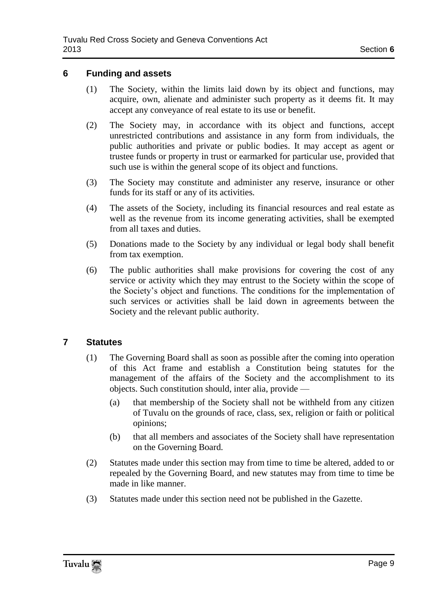#### <span id="page-8-0"></span>**6 Funding and assets**

- (1) The Society, within the limits laid down by its object and functions, may acquire, own, alienate and administer such property as it deems fit. It may accept any conveyance of real estate to its use or benefit.
- (2) The Society may, in accordance with its object and functions, accept unrestricted contributions and assistance in any form from individuals, the public authorities and private or public bodies. It may accept as agent or trustee funds or property in trust or earmarked for particular use, provided that such use is within the general scope of its object and functions.
- (3) The Society may constitute and administer any reserve, insurance or other funds for its staff or any of its activities.
- (4) The assets of the Society, including its financial resources and real estate as well as the revenue from its income generating activities, shall be exempted from all taxes and duties.
- (5) Donations made to the Society by any individual or legal body shall benefit from tax exemption.
- (6) The public authorities shall make provisions for covering the cost of any service or activity which they may entrust to the Society within the scope of the Society's object and functions. The conditions for the implementation of such services or activities shall be laid down in agreements between the Society and the relevant public authority.

#### <span id="page-8-1"></span>**7 Statutes**

- (1) The Governing Board shall as soon as possible after the coming into operation of this Act frame and establish a Constitution being statutes for the management of the affairs of the Society and the accomplishment to its objects. Such constitution should, inter alia, provide —
	- (a) that membership of the Society shall not be withheld from any citizen of Tuvalu on the grounds of race, class, sex, religion or faith or political opinions;
	- (b) that all members and associates of the Society shall have representation on the Governing Board.
- (2) Statutes made under this section may from time to time be altered, added to or repealed by the Governing Board, and new statutes may from time to time be made in like manner.
- (3) Statutes made under this section need not be published in the Gazette.

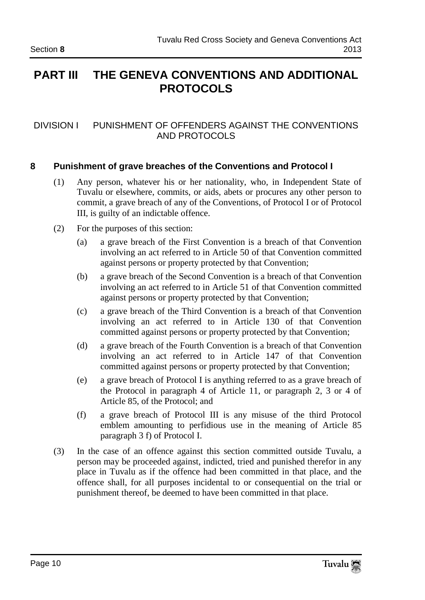### <span id="page-9-0"></span>**PART III THE GENEVA CONVENTIONS AND ADDITIONAL PROTOCOLS**

#### DIVISION I PUNISHMENT OF OFFENDERS AGAINST THE CONVENTIONS AND PROTOCOLS

#### <span id="page-9-1"></span>**8 Punishment of grave breaches of the Conventions and Protocol I**

- (1) Any person, whatever his or her nationality, who, in Independent State of Tuvalu or elsewhere, commits, or aids, abets or procures any other person to commit, a grave breach of any of the Conventions, of Protocol I or of Protocol III, is guilty of an indictable offence.
- (2) For the purposes of this section:
	- (a) a grave breach of the First Convention is a breach of that Convention involving an act referred to in Article 50 of that Convention committed against persons or property protected by that Convention;
	- (b) a grave breach of the Second Convention is a breach of that Convention involving an act referred to in Article 51 of that Convention committed against persons or property protected by that Convention;
	- (c) a grave breach of the Third Convention is a breach of that Convention involving an act referred to in Article 130 of that Convention committed against persons or property protected by that Convention;
	- (d) a grave breach of the Fourth Convention is a breach of that Convention involving an act referred to in Article 147 of that Convention committed against persons or property protected by that Convention;
	- (e) a grave breach of Protocol I is anything referred to as a grave breach of the Protocol in paragraph 4 of Article 11, or paragraph 2, 3 or 4 of Article 85, of the Protocol; and
	- (f) a grave breach of Protocol III is any misuse of the third Protocol emblem amounting to perfidious use in the meaning of Article 85 paragraph 3 f) of Protocol I.
- (3) In the case of an offence against this section committed outside Tuvalu, a person may be proceeded against, indicted, tried and punished therefor in any place in Tuvalu as if the offence had been committed in that place, and the offence shall, for all purposes incidental to or consequential on the trial or punishment thereof, be deemed to have been committed in that place.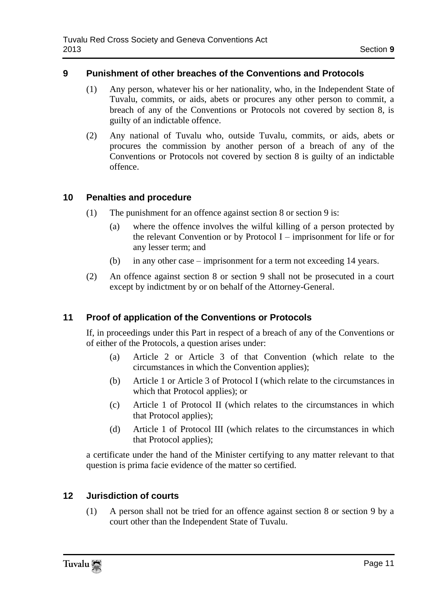#### <span id="page-10-0"></span>**9 Punishment of other breaches of the Conventions and Protocols**

- (1) Any person, whatever his or her nationality, who, in the Independent State of Tuvalu, commits, or aids, abets or procures any other person to commit, a breach of any of the Conventions or Protocols not covered by section 8, is guilty of an indictable offence.
- (2) Any national of Tuvalu who, outside Tuvalu, commits, or aids, abets or procures the commission by another person of a breach of any of the Conventions or Protocols not covered by section 8 is guilty of an indictable offence.

#### <span id="page-10-1"></span>**10 Penalties and procedure**

- (1) The punishment for an offence against section 8 or section 9 is:
	- (a) where the offence involves the wilful killing of a person protected by the relevant Convention or by Protocol I – imprisonment for life or for any lesser term; and
	- (b) in any other case imprisonment for a term not exceeding 14 years.
- (2) An offence against section 8 or section 9 shall not be prosecuted in a court except by indictment by or on behalf of the Attorney-General.

#### <span id="page-10-2"></span>**11 Proof of application of the Conventions or Protocols**

If, in proceedings under this Part in respect of a breach of any of the Conventions or of either of the Protocols, a question arises under:

- (a) Article 2 or Article 3 of that Convention (which relate to the circumstances in which the Convention applies);
- (b) Article 1 or Article 3 of Protocol I (which relate to the circumstances in which that Protocol applies); or
- (c) Article 1 of Protocol II (which relates to the circumstances in which that Protocol applies);
- (d) Article 1 of Protocol III (which relates to the circumstances in which that Protocol applies);

a certificate under the hand of the Minister certifying to any matter relevant to that question is prima facie evidence of the matter so certified.

#### <span id="page-10-3"></span>**12 Jurisdiction of courts**

(1) A person shall not be tried for an offence against section 8 or section 9 by a court other than the Independent State of Tuvalu.

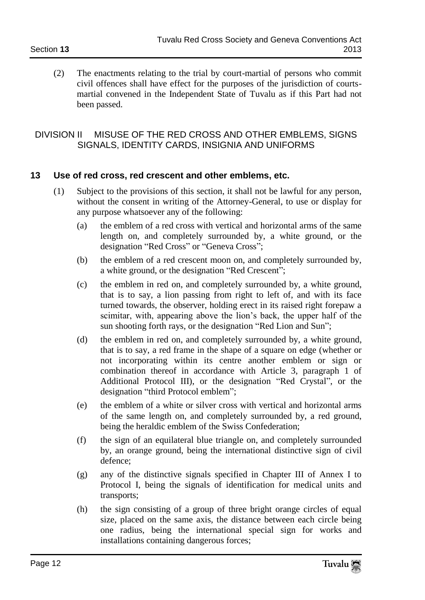(2) The enactments relating to the trial by court-martial of persons who commit civil offences shall have effect for the purposes of the jurisdiction of courtsmartial convened in the Independent State of Tuvalu as if this Part had not been passed.

#### DIVISION II MISUSE OF THE RED CROSS AND OTHER EMBLEMS, SIGNS SIGNALS, IDENTITY CARDS, INSIGNIA AND UNIFORMS

#### <span id="page-11-0"></span>**13 Use of red cross, red crescent and other emblems, etc.**

- (1) Subject to the provisions of this section, it shall not be lawful for any person, without the consent in writing of the Attorney-General, to use or display for any purpose whatsoever any of the following:
	- (a) the emblem of a red cross with vertical and horizontal arms of the same length on, and completely surrounded by, a white ground, or the designation "Red Cross" or "Geneva Cross";
	- (b) the emblem of a red crescent moon on, and completely surrounded by, a white ground, or the designation "Red Crescent";
	- (c) the emblem in red on, and completely surrounded by, a white ground, that is to say, a lion passing from right to left of, and with its face turned towards, the observer, holding erect in its raised right forepaw a scimitar, with, appearing above the lion's back, the upper half of the sun shooting forth rays, or the designation "Red Lion and Sun";
	- (d) the emblem in red on, and completely surrounded by, a white ground, that is to say, a red frame in the shape of a square on edge (whether or not incorporating within its centre another emblem or sign or combination thereof in accordance with Article 3, paragraph 1 of Additional Protocol III), or the designation "Red Crystal", or the designation "third Protocol emblem":
	- (e) the emblem of a white or silver cross with vertical and horizontal arms of the same length on, and completely surrounded by, a red ground, being the heraldic emblem of the Swiss Confederation;
	- (f) the sign of an equilateral blue triangle on, and completely surrounded by, an orange ground, being the international distinctive sign of civil defence;
	- (g) any of the distinctive signals specified in Chapter III of Annex I to Protocol I, being the signals of identification for medical units and transports;
	- (h) the sign consisting of a group of three bright orange circles of equal size, placed on the same axis, the distance between each circle being one radius, being the international special sign for works and installations containing dangerous forces;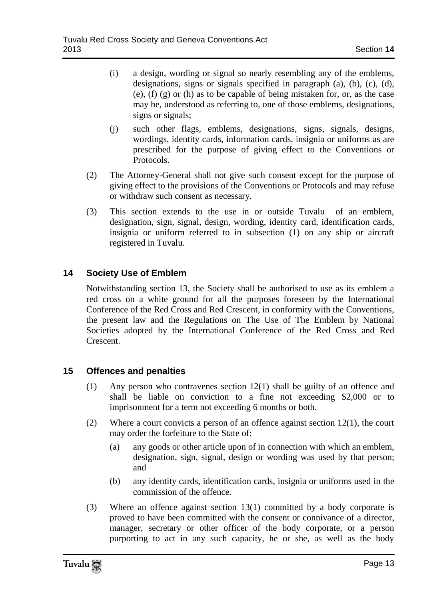- (i) a design, wording or signal so nearly resembling any of the emblems, designations, signs or signals specified in paragraph (a), (b), (c), (d), (e), (f) (g) or (h) as to be capable of being mistaken for, or, as the case may be, understood as referring to, one of those emblems, designations, signs or signals;
- (j) such other flags, emblems, designations, signs, signals, designs, wordings, identity cards, information cards, insignia or uniforms as are prescribed for the purpose of giving effect to the Conventions or Protocols.
- (2) The Attorney-General shall not give such consent except for the purpose of giving effect to the provisions of the Conventions or Protocols and may refuse or withdraw such consent as necessary.
- (3) This section extends to the use in or outside Tuvalu of an emblem, designation, sign, signal, design, wording, identity card, identification cards, insignia or uniform referred to in subsection (1) on any ship or aircraft registered in Tuvalu.

#### <span id="page-12-0"></span>**14 Society Use of Emblem**

Notwithstanding section 13, the Society shall be authorised to use as its emblem a red cross on a white ground for all the purposes foreseen by the International Conference of the Red Cross and Red Crescent, in conformity with the Conventions, the present law and the Regulations on The Use of The Emblem by National Societies adopted by the International Conference of the Red Cross and Red Crescent.

#### <span id="page-12-1"></span>**15 Offences and penalties**

- (1) Any person who contravenes section 12(1) shall be guilty of an offence and shall be liable on conviction to a fine not exceeding \$2,000 or to imprisonment for a term not exceeding 6 months or both.
- (2) Where a court convicts a person of an offence against section  $12(1)$ , the court may order the forfeiture to the State of:
	- (a) any goods or other article upon of in connection with which an emblem, designation, sign, signal, design or wording was used by that person; and
	- (b) any identity cards, identification cards, insignia or uniforms used in the commission of the offence.
- (3) Where an offence against section  $13(1)$  committed by a body corporate is proved to have been committed with the consent or connivance of a director, manager, secretary or other officer of the body corporate, or a person purporting to act in any such capacity, he or she, as well as the body

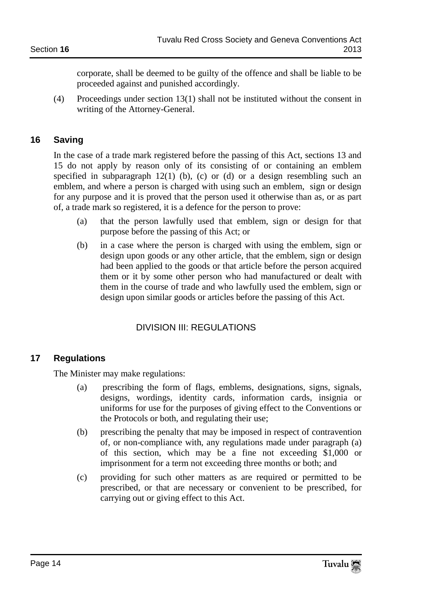corporate, shall be deemed to be guilty of the offence and shall be liable to be proceeded against and punished accordingly.

(4) Proceedings under section 13(1) shall not be instituted without the consent in writing of the Attorney-General.

#### <span id="page-13-0"></span>**16 Saving**

In the case of a trade mark registered before the passing of this Act, sections 13 and 15 do not apply by reason only of its consisting of or containing an emblem specified in subparagraph  $12(1)$  (b), (c) or (d) or a design resembling such an emblem, and where a person is charged with using such an emblem, sign or design for any purpose and it is proved that the person used it otherwise than as, or as part of, a trade mark so registered, it is a defence for the person to prove:

- (a) that the person lawfully used that emblem, sign or design for that purpose before the passing of this Act; or
- (b) in a case where the person is charged with using the emblem, sign or design upon goods or any other article, that the emblem, sign or design had been applied to the goods or that article before the person acquired them or it by some other person who had manufactured or dealt with them in the course of trade and who lawfully used the emblem, sign or design upon similar goods or articles before the passing of this Act.

#### DIVISION III: REGULATIONS

#### <span id="page-13-1"></span>**17 Regulations**

The Minister may make regulations:

- (a) prescribing the form of flags, emblems, designations, signs, signals, designs, wordings, identity cards, information cards, insignia or uniforms for use for the purposes of giving effect to the Conventions or the Protocols or both, and regulating their use;
- (b) prescribing the penalty that may be imposed in respect of contravention of, or non-compliance with, any regulations made under paragraph (a) of this section, which may be a fine not exceeding \$1,000 or imprisonment for a term not exceeding three months or both; and
- (c) providing for such other matters as are required or permitted to be prescribed, or that are necessary or convenient to be prescribed, for carrying out or giving effect to this Act.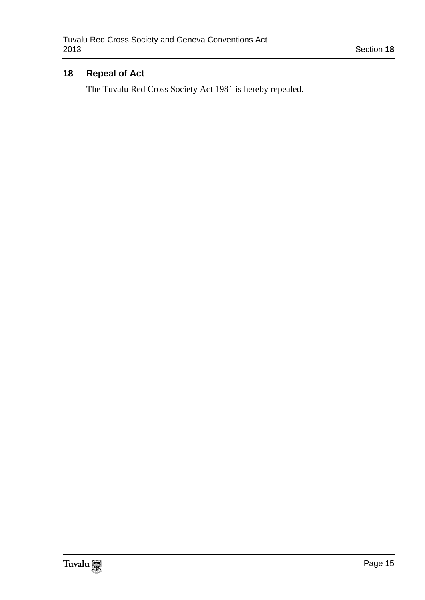#### <span id="page-14-0"></span>**18 Repeal of Act**

The Tuvalu Red Cross Society Act 1981 is hereby repealed.